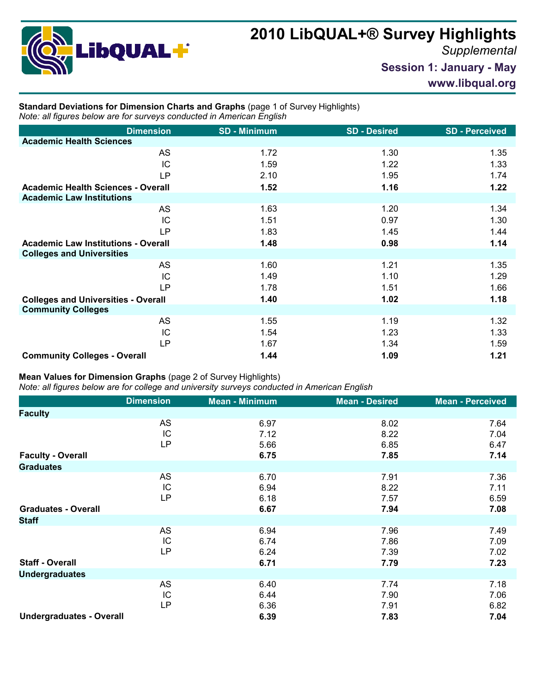

## **2010 LibQUAL+® Survey Highlights**

*Supplemental*

**Session 1: January - May**

**www.libqual.org**

## **Standard Deviations for Dimension Charts and Graphs** (page 1 of Survey Highlights) *Note: all figures below are for surveys conducted in American English*

| <b>Dimension</b>                           | <b>SD - Minimum</b> | <b>SD - Desired</b> | <b>SD-Perceived</b> |
|--------------------------------------------|---------------------|---------------------|---------------------|
| <b>Academic Health Sciences</b>            |                     |                     |                     |
| AS                                         | 1.72                | 1.30                | 1.35                |
| IC                                         | 1.59                | 1.22                | 1.33                |
| <b>LP</b>                                  | 2.10                | 1.95                | 1.74                |
| <b>Academic Health Sciences - Overall</b>  | 1.52                | 1.16                | 1.22                |
| <b>Academic Law Institutions</b>           |                     |                     |                     |
| AS                                         | 1.63                | 1.20                | 1.34                |
| IC                                         | 1.51                | 0.97                | 1.30                |
| <b>LP</b>                                  | 1.83                | 1.45                | 1.44                |
| <b>Academic Law Institutions - Overall</b> | 1.48                | 0.98                | 1.14                |
| <b>Colleges and Universities</b>           |                     |                     |                     |
| <b>AS</b>                                  | 1.60                | 1.21                | 1.35                |
| IC                                         | 1.49                | 1.10                | 1.29                |
| LP                                         | 1.78                | 1.51                | 1.66                |
| <b>Colleges and Universities - Overall</b> | 1.40                | 1.02                | 1.18                |
| <b>Community Colleges</b>                  |                     |                     |                     |
| AS                                         | 1.55                | 1.19                | 1.32                |
| IC                                         | 1.54                | 1.23                | 1.33                |
| <b>LP</b>                                  | 1.67                | 1.34                | 1.59                |
| <b>Community Colleges - Overall</b>        | 1.44                | 1.09                | 1.21                |

## **Mean Values for Dimension Graphs** (page 2 of Survey Highlights)

*Note: all figures below are for college and university surveys conducted in American English*

|                                 | <b>Dimension</b> | <b>Mean - Minimum</b> | <b>Mean - Desired</b> | <b>Mean - Perceived</b> |
|---------------------------------|------------------|-----------------------|-----------------------|-------------------------|
| <b>Faculty</b>                  |                  |                       |                       |                         |
|                                 | AS<br>IC<br>LP   | 6.97<br>7.12<br>5.66  | 8.02<br>8.22<br>6.85  | 7.64<br>7.04<br>6.47    |
| <b>Faculty - Overall</b>        |                  | 6.75                  | 7.85                  | 7.14                    |
| <b>Graduates</b>                |                  |                       |                       |                         |
|                                 | AS<br>IC<br>LP   | 6.70<br>6.94<br>6.18  | 7.91<br>8.22<br>7.57  | 7.36<br>7.11<br>6.59    |
| <b>Graduates - Overall</b>      |                  | 6.67                  | 7.94                  | 7.08                    |
| <b>Staff</b>                    |                  |                       |                       |                         |
|                                 | AS<br>IC<br>LP   | 6.94<br>6.74<br>6.24  | 7.96<br>7.86<br>7.39  | 7.49<br>7.09<br>7.02    |
| <b>Staff - Overall</b>          |                  | 6.71                  | 7.79                  | 7.23                    |
| <b>Undergraduates</b>           |                  |                       |                       |                         |
|                                 | AS<br>IC<br>LP   | 6.40<br>6.44<br>6.36  | 7.74<br>7.90<br>7.91  | 7.18<br>7.06<br>6.82    |
| <b>Undergraduates - Overall</b> |                  | 6.39                  | 7.83                  | 7.04                    |